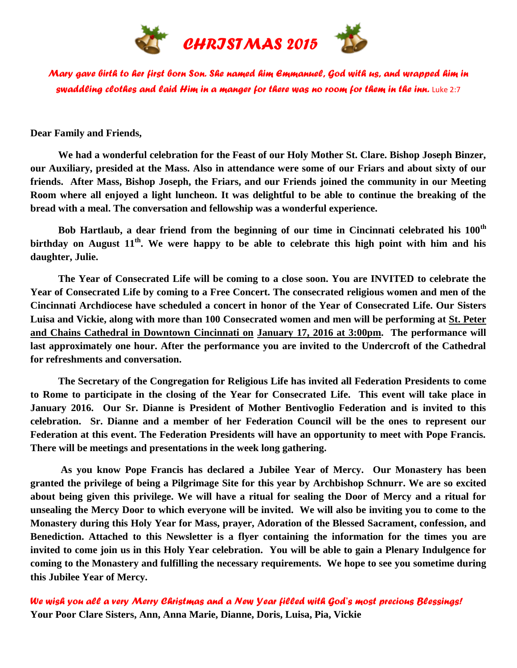

*Mary gave birth to her first born Son. She named him Emmanuel, God with us, and wrapped him in swaddling clothes and laid Him in a manger for there was no room for them in the inn.* Luke 2:7

**Dear Family and Friends,**

 **We had a wonderful celebration for the Feast of our Holy Mother St. Clare. Bishop Joseph Binzer, our Auxiliary, presided at the Mass. Also in attendance were some of our Friars and about sixty of our friends. After Mass, Bishop Joseph, the Friars, and our Friends joined the community in our Meeting Room where all enjoyed a light luncheon. It was delightful to be able to continue the breaking of the bread with a meal. The conversation and fellowship was a wonderful experience.**

 **Bob Hartlaub, a dear friend from the beginning of our time in Cincinnati celebrated his 100th birthday on August 11th. We were happy to be able to celebrate this high point with him and his daughter, Julie.**

 **The Year of Consecrated Life will be coming to a close soon. You are INVITED to celebrate the Year of Consecrated Life by coming to a Free Concert. The consecrated religious women and men of the Cincinnati Archdiocese have scheduled a concert in honor of the Year of Consecrated Life. Our Sisters Luisa and Vickie, along with more than 100 Consecrated women and men will be performing at St. Peter and Chains Cathedral in Downtown Cincinnati on January 17, 2016 at 3:00pm. The performance will last approximately one hour. After the performance you are invited to the Undercroft of the Cathedral for refreshments and conversation.**

 **The Secretary of the Congregation for Religious Life has invited all Federation Presidents to come to Rome to participate in the closing of the Year for Consecrated Life. This event will take place in January 2016. Our Sr. Dianne is President of Mother Bentivoglio Federation and is invited to this celebration. Sr. Dianne and a member of her Federation Council will be the ones to represent our Federation at this event. The Federation Presidents will have an opportunity to meet with Pope Francis. There will be meetings and presentations in the week long gathering.**

 **As you know Pope Francis has declared a Jubilee Year of Mercy. Our Monastery has been granted the privilege of being a Pilgrimage Site for this year by Archbishop Schnurr. We are so excited about being given this privilege. We will have a ritual for sealing the Door of Mercy and a ritual for unsealing the Mercy Door to which everyone will be invited. We will also be inviting you to come to the Monastery during this Holy Year for Mass, prayer, Adoration of the Blessed Sacrament, confession, and Benediction. Attached to this Newsletter is a flyer containing the information for the times you are invited to come join us in this Holy Year celebration. You will be able to gain a Plenary Indulgence for coming to the Monastery and fulfilling the necessary requirements. We hope to see you sometime during this Jubilee Year of Mercy.**

*We wish you all a very Merry Christmas and a New Year filled with God's most precious Blessings!*  **Your Poor Clare Sisters, Ann, Anna Marie, Dianne, Doris, Luisa, Pia, Vickie**